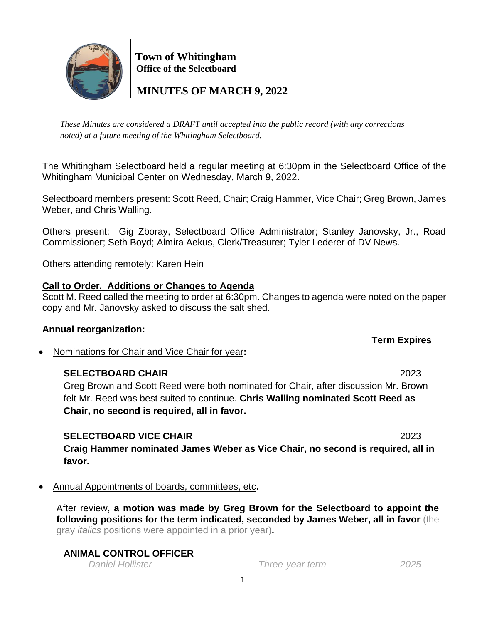

 **Town of Whitingham Office of the Selectboard**

 **MINUTES OF MARCH 9, 2022**

*These Minutes are considered a DRAFT until accepted into the public record (with any corrections noted) at a future meeting of the Whitingham Selectboard.*

The Whitingham Selectboard held a regular meeting at 6:30pm in the Selectboard Office of the Whitingham Municipal Center on Wednesday, March 9, 2022.

Selectboard members present: Scott Reed, Chair; Craig Hammer, Vice Chair; Greg Brown, James Weber, and Chris Walling.

Others present: Gig Zboray, Selectboard Office Administrator; Stanley Janovsky, Jr., Road Commissioner; Seth Boyd; Almira Aekus, Clerk/Treasurer; Tyler Lederer of DV News.

Others attending remotely: Karen Hein

# **Call to Order. Additions or Changes to Agenda**

Scott M. Reed called the meeting to order at 6:30pm. Changes to agenda were noted on the paper copy and Mr. Janovsky asked to discuss the salt shed.

# **Annual reorganization:**

• Nominations for Chair and Vice Chair for year**:** 

# **SELECTBOARD CHAIR** 2023

Greg Brown and Scott Reed were both nominated for Chair, after discussion Mr. Brown felt Mr. Reed was best suited to continue. **Chris Walling nominated Scott Reed as Chair, no second is required, all in favor.** 

# **SELECTBOARD VICE CHAIR** 2023

**Craig Hammer nominated James Weber as Vice Chair, no second is required, all in favor.**

• Annual Appointments of boards, committees, etc**.**

After review, **a motion was made by Greg Brown for the Selectboard to appoint the following positions for the term indicated, seconded by James Weber, all in favor** (the gray *italics* positions were appointed in a prior year)**.**

# **ANIMAL CONTROL OFFICER**

*Daniel Hollister Three-year term 2025*

**Term Expires**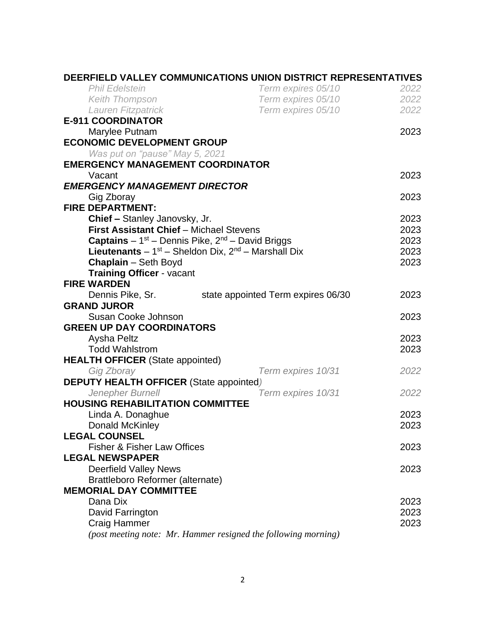|                                                                     | DEERFIELD VALLEY COMMUNICATIONS UNION DISTRICT REPRESENTATIVES |      |
|---------------------------------------------------------------------|----------------------------------------------------------------|------|
| <b>Phil Edelstein</b>                                               | Term expires 05/10                                             | 2022 |
| <b>Keith Thompson</b>                                               | Term expires 05/10                                             | 2022 |
| Lauren Fitzpatrick                                                  | Term expires 05/10                                             | 2022 |
| <b>E-911 COORDINATOR</b>                                            |                                                                |      |
| Marylee Putnam                                                      |                                                                | 2023 |
| <b>ECONOMIC DEVELOPMENT GROUP</b>                                   |                                                                |      |
| Was put on "pause" May 5, 2021                                      |                                                                |      |
| <b>EMERGENCY MANAGEMENT COORDINATOR</b>                             |                                                                |      |
| Vacant                                                              |                                                                | 2023 |
| <b>EMERGENCY MANAGEMENT DIRECTOR</b>                                |                                                                |      |
| Gig Zboray                                                          |                                                                | 2023 |
| <b>FIRE DEPARTMENT:</b>                                             |                                                                |      |
| Chief - Stanley Janovsky, Jr.                                       |                                                                | 2023 |
| <b>First Assistant Chief - Michael Stevens</b>                      |                                                                | 2023 |
| <b>Captains</b> – $1^{st}$ – Dennis Pike, $2^{nd}$ – David Briggs   |                                                                | 2023 |
| <b>Lieutenants</b> $-1^{st}$ – Sheldon Dix, $2^{nd}$ – Marshall Dix |                                                                | 2023 |
| <b>Chaplain</b> - Seth Boyd                                         |                                                                | 2023 |
| <b>Training Officer - vacant</b>                                    |                                                                |      |
| <b>FIRE WARDEN</b>                                                  |                                                                |      |
| Dennis Pike, Sr.                                                    | state appointed Term expires 06/30                             | 2023 |
| <b>GRAND JUROR</b>                                                  |                                                                |      |
| Susan Cooke Johnson                                                 |                                                                | 2023 |
| <b>GREEN UP DAY COORDINATORS</b>                                    |                                                                |      |
| Aysha Peltz                                                         |                                                                | 2023 |
| <b>Todd Wahlstrom</b>                                               |                                                                | 2023 |
| <b>HEALTH OFFICER</b> (State appointed)                             |                                                                |      |
| Gig Zboray                                                          | Term expires 10/31                                             | 2022 |
| <b>DEPUTY HEALTH OFFICER (State appointed)</b>                      |                                                                |      |
| Jenepher Burnell<br>Term expires 10/31                              |                                                                | 2022 |
| <b>HOUSING REHABILITATION COMMITTEE</b>                             |                                                                |      |
| Linda A. Donaghue                                                   |                                                                | 2023 |
| Donald McKinley                                                     |                                                                | 2023 |
| <b>LEGAL COUNSEL</b>                                                |                                                                |      |
| <b>Fisher &amp; Fisher Law Offices</b>                              |                                                                | 2023 |
| <b>LEGAL NEWSPAPER</b>                                              |                                                                |      |
| <b>Deerfield Valley News</b>                                        |                                                                | 2023 |
| Brattleboro Reformer (alternate)                                    |                                                                |      |
| <b>MEMORIAL DAY COMMITTEE</b>                                       |                                                                |      |
| Dana Dix                                                            |                                                                | 2023 |
| David Farrington                                                    |                                                                | 2023 |
| <b>Craig Hammer</b>                                                 |                                                                | 2023 |
|                                                                     | (post meeting note: Mr. Hammer resigned the following morning) |      |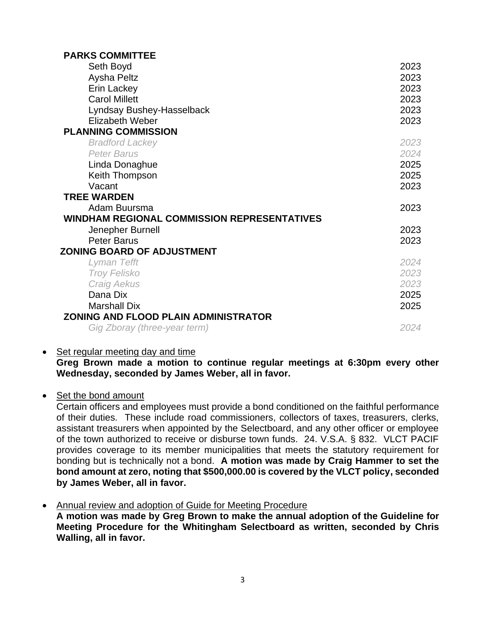| <b>PARKS COMMITTEE</b>                             |      |
|----------------------------------------------------|------|
| Seth Boyd                                          | 2023 |
| Aysha Peltz                                        | 2023 |
| Erin Lackey                                        | 2023 |
| <b>Carol Millett</b>                               | 2023 |
| Lyndsay Bushey-Hasselback                          | 2023 |
| <b>Elizabeth Weber</b>                             | 2023 |
| <b>PLANNING COMMISSION</b>                         |      |
| <b>Bradford Lackey</b>                             | 2023 |
| <b>Peter Barus</b>                                 | 2024 |
| Linda Donaghue                                     | 2025 |
| Keith Thompson                                     | 2025 |
| Vacant                                             | 2023 |
| <b>TREE WARDEN</b>                                 |      |
| Adam Buursma                                       | 2023 |
| <b>WINDHAM REGIONAL COMMISSION REPRESENTATIVES</b> |      |
| Jenepher Burnell                                   | 2023 |
| <b>Peter Barus</b>                                 | 2023 |
| <b>ZONING BOARD OF ADJUSTMENT</b>                  |      |
| Lyman Tefft                                        | 2024 |
| <b>Troy Felisko</b>                                | 2023 |
| <b>Craig Aekus</b>                                 | 2023 |
| Dana Dix                                           | 2025 |
| <b>Marshall Dix</b>                                | 2025 |
| ZONING AND FLOOD PLAIN ADMINISTRATOR               |      |
| Gig Zboray (three-year term)                       | 2024 |

• Set regular meeting day and time

**Greg Brown made a motion to continue regular meetings at 6:30pm every other Wednesday, seconded by James Weber, all in favor.**

• Set the bond amount

Certain officers and employees must provide a bond conditioned on the faithful performance of their duties. These include road commissioners, collectors of taxes, treasurers, clerks, assistant treasurers when appointed by the Selectboard, and any other officer or employee of the town authorized to receive or disburse town funds. 24. V.S.A. § 832. VLCT PACIF provides coverage to its member municipalities that meets the statutory requirement for bonding but is technically not a bond. **A motion was made by Craig Hammer to set the bond amount at zero, noting that \$500,000.00 is covered by the VLCT policy, seconded by James Weber, all in favor.**

• Annual review and adoption of Guide for Meeting Procedure **A motion was made by Greg Brown to make the annual adoption of the Guideline for Meeting Procedure for the Whitingham Selectboard as written, seconded by Chris Walling, all in favor.**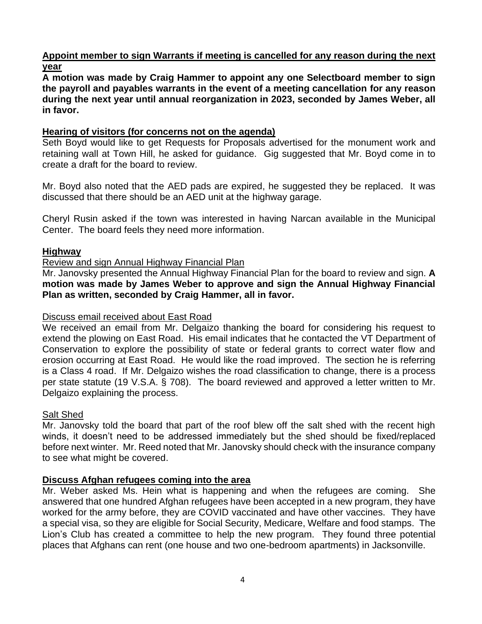**Appoint member to sign Warrants if meeting is cancelled for any reason during the next year**

**A motion was made by Craig Hammer to appoint any one Selectboard member to sign the payroll and payables warrants in the event of a meeting cancellation for any reason during the next year until annual reorganization in 2023, seconded by James Weber, all in favor.**

## **Hearing of visitors (for concerns not on the agenda)**

Seth Boyd would like to get Requests for Proposals advertised for the monument work and retaining wall at Town Hill, he asked for guidance. Gig suggested that Mr. Boyd come in to create a draft for the board to review.

Mr. Boyd also noted that the AED pads are expired, he suggested they be replaced. It was discussed that there should be an AED unit at the highway garage.

Cheryl Rusin asked if the town was interested in having Narcan available in the Municipal Center. The board feels they need more information.

## **Highway**

### Review and sign Annual Highway Financial Plan

Mr. Janovsky presented the Annual Highway Financial Plan for the board to review and sign. **A motion was made by James Weber to approve and sign the Annual Highway Financial Plan as written, seconded by Craig Hammer, all in favor.**

### Discuss email received about East Road

We received an email from Mr. Delgaizo thanking the board for considering his request to extend the plowing on East Road. His email indicates that he contacted the VT Department of Conservation to explore the possibility of state or federal grants to correct water flow and erosion occurring at East Road. He would like the road improved. The section he is referring is a Class 4 road. If Mr. Delgaizo wishes the road classification to change, there is a process per state statute (19 V.S.A. § 708). The board reviewed and approved a letter written to Mr. Delgaizo explaining the process.

# Salt Shed

Mr. Janovsky told the board that part of the roof blew off the salt shed with the recent high winds, it doesn't need to be addressed immediately but the shed should be fixed/replaced before next winter. Mr. Reed noted that Mr. Janovsky should check with the insurance company to see what might be covered.

# **Discuss Afghan refugees coming into the area**

Mr. Weber asked Ms. Hein what is happening and when the refugees are coming. She answered that one hundred Afghan refugees have been accepted in a new program, they have worked for the army before, they are COVID vaccinated and have other vaccines. They have a special visa, so they are eligible for Social Security, Medicare, Welfare and food stamps. The Lion's Club has created a committee to help the new program. They found three potential places that Afghans can rent (one house and two one-bedroom apartments) in Jacksonville.